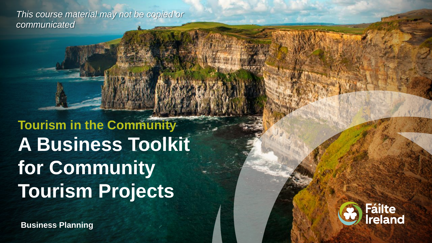*This course material may not be copied or communicated*

**Tourism in the Community A Business Toolkit for Community Tourism Projects** 

**Business Planning**

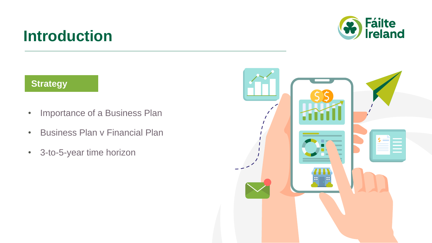### **Introduction**

#### **Strategy**

- Importance of a Business Plan
- Business Plan v Financial Plan
- 3-to-5-year time horizon



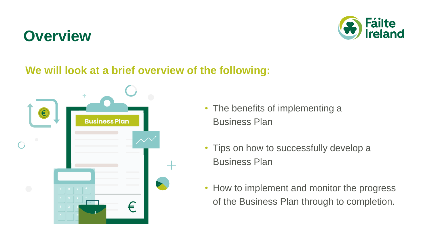## **Overview**



#### **We will look at a brief overview of the following:**



- The benefits of implementing a Business Plan
- Tips on how to successfully develop a Business Plan
- How to implement and monitor the progress of the Business Plan through to completion.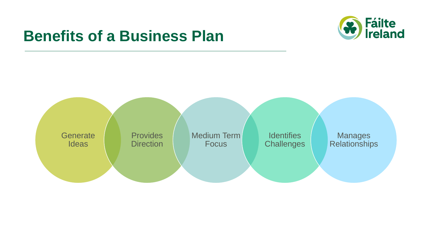### **Benefits of a Business Plan**



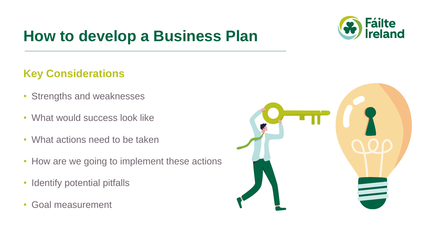# **How to develop a Business Plan**



#### **Key Considerations**

- Strengths and weaknesses
- What would success look like
- What actions need to be taken
- How are we going to implement these actions
- Identify potential pitfalls
- Goal measurement

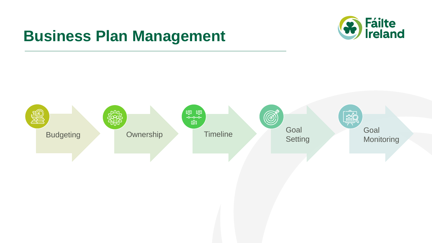## **Business Plan Management**



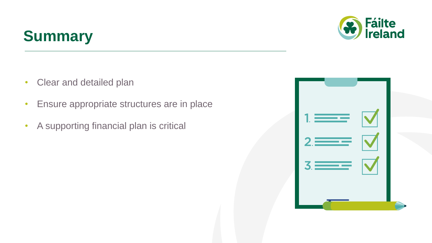# **Summary**



- Clear and detailed plan
- Ensure appropriate structures are in place
- A supporting financial plan is critical